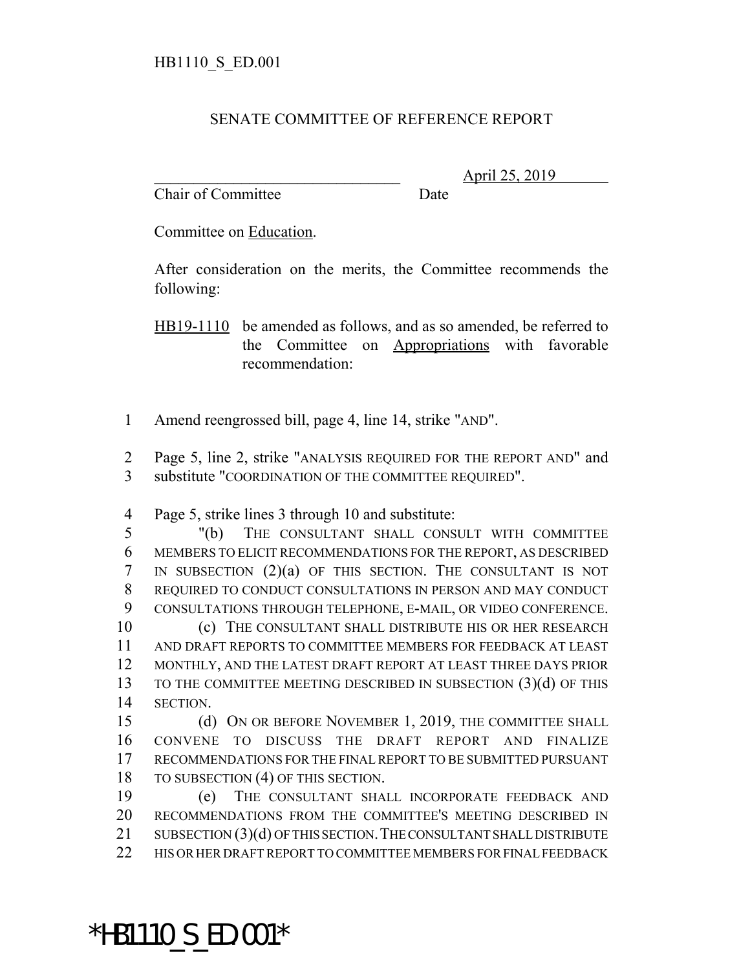## SENATE COMMITTEE OF REFERENCE REPORT

Chair of Committee Date

\_\_\_\_\_\_\_\_\_\_\_\_\_\_\_\_\_\_\_\_\_\_\_\_\_\_\_\_\_\_\_ April 25, 2019

Committee on Education.

After consideration on the merits, the Committee recommends the following:

HB19-1110 be amended as follows, and as so amended, be referred to the Committee on Appropriations with favorable recommendation:

1 Amend reengrossed bill, page 4, line 14, strike "AND".

2 Page 5, line 2, strike "ANALYSIS REQUIRED FOR THE REPORT AND" and 3 substitute "COORDINATION OF THE COMMITTEE REQUIRED".

4 Page 5, strike lines 3 through 10 and substitute:

 "(b) THE CONSULTANT SHALL CONSULT WITH COMMITTEE MEMBERS TO ELICIT RECOMMENDATIONS FOR THE REPORT, AS DESCRIBED IN SUBSECTION (2)(a) OF THIS SECTION. THE CONSULTANT IS NOT REQUIRED TO CONDUCT CONSULTATIONS IN PERSON AND MAY CONDUCT CONSULTATIONS THROUGH TELEPHONE, E-MAIL, OR VIDEO CONFERENCE. (c) THE CONSULTANT SHALL DISTRIBUTE HIS OR HER RESEARCH AND DRAFT REPORTS TO COMMITTEE MEMBERS FOR FEEDBACK AT LEAST MONTHLY, AND THE LATEST DRAFT REPORT AT LEAST THREE DAYS PRIOR TO THE COMMITTEE MEETING DESCRIBED IN SUBSECTION (3)(d) OF THIS 14 SECTION.

15 (d) ON OR BEFORE NOVEMBER 1, 2019, THE COMMITTEE SHALL 16 CONVENE TO DISCUSS THE DRAFT REPORT AND FINALIZE 17 RECOMMENDATIONS FOR THE FINAL REPORT TO BE SUBMITTED PURSUANT 18 TO SUBSECTION (4) OF THIS SECTION.

 (e) THE CONSULTANT SHALL INCORPORATE FEEDBACK AND RECOMMENDATIONS FROM THE COMMITTEE'S MEETING DESCRIBED IN 21 SUBSECTION (3)(d) OF THIS SECTION. THE CONSULTANT SHALL DISTRIBUTE HIS OR HER DRAFT REPORT TO COMMITTEE MEMBERS FOR FINAL FEEDBACK

\*HB1110\_S\_ED.001\*